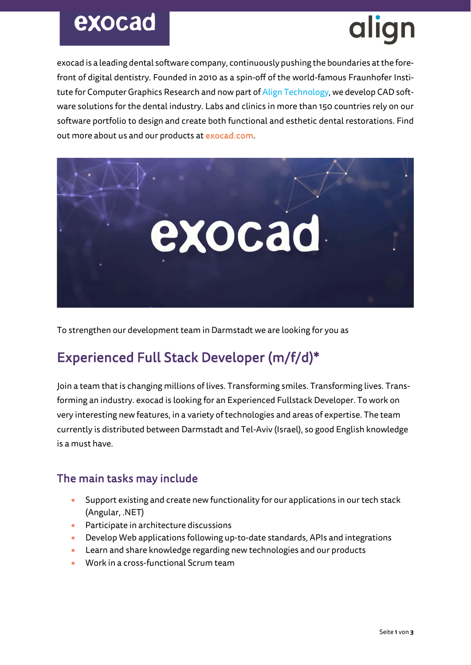## exocad

# alian

exocad is a leading dental software company, continuously pushing the boundaries at the forefront of digital dentistry. Founded in 2010 as a spin-off of the world-famous Fraunhofer Institute for Computer Graphics Research and now part of Align Technology, we develop CAD software solutions for the dental industry. Labs and clinics in more than 150 countries rely on our software portfolio to design and create both functional and esthetic dental restorations. Find out more about us and our products at exocad.com.



To strengthen our development team in Darmstadt we are looking for you as

### Experienced Full Stack Developer (m/f/d)\*

Join a team that is changing millions of lives. Transforming smiles. Transforming lives. Transforming an industry. exocad is looking for an Experienced Fullstack Developer. To work on very interesting new features, in a variety of technologies and areas of expertise. The team currently is distributed between Darmstadt and Tel-Aviv (Israel), so good English knowledge is a must have.

#### The main tasks may include

- Support existing and create new functionality for our applications in our tech stack (Angular, .NET)
- Participate in architecture discussions
- Develop Web applications following up-to-date standards, APIs and integrations
- Learn and share knowledge regarding new technologies and our products
- Work in a cross-functional Scrum team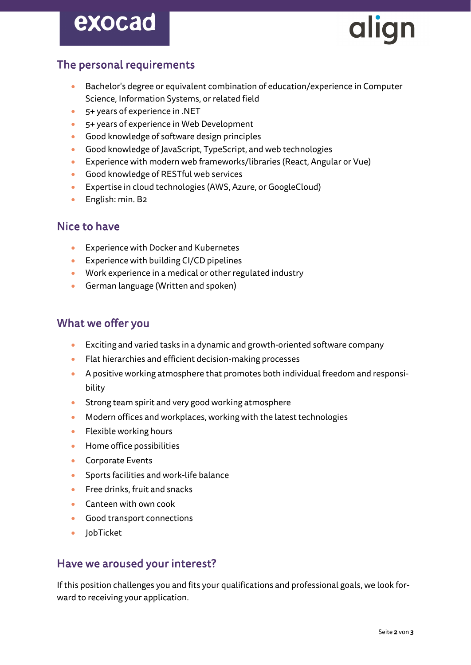## exocad



#### The personal requirements

- Bachelor's degree or equivalent combination of education/experience in Computer Science, Information Systems, or related field
- 5+ years of experience in .NET
- 5+ years of experience in Web Development
- Good knowledge of software design principles
- Good knowledge of JavaScript, TypeScript, and web technologies
- Experience with modern web frameworks/libraries (React, Angular or Vue)
- Good knowledge of RESTful web services
- Expertise in cloud technologies (AWS, Azure, or GoogleCloud)
- English: min. B2

#### Nice to have

- Experience with Docker and Kubernetes
- Experience with building CI/CD pipelines
- Work experience in a medical or other regulated industry
- German language (Written and spoken)

#### What we offer you

- Exciting and varied tasks in a dynamic and growth-oriented software company
- Flat hierarchies and efficient decision-making processes
- A positive working atmosphere that promotes both individual freedom and responsibility
- Strong team spirit and very good working atmosphere
- Modern offices and workplaces, working with the latest technologies
- Flexible working hours
- Home office possibilities
- Corporate Events
- Sports facilities and work-life balance
- Free drinks, fruit and snacks
- Canteen with own cook
- Good transport connections
- JobTicket

#### Have we aroused your interest?

If this position challenges you and fits your qualifications and professional goals, we look forward to receiving your application.